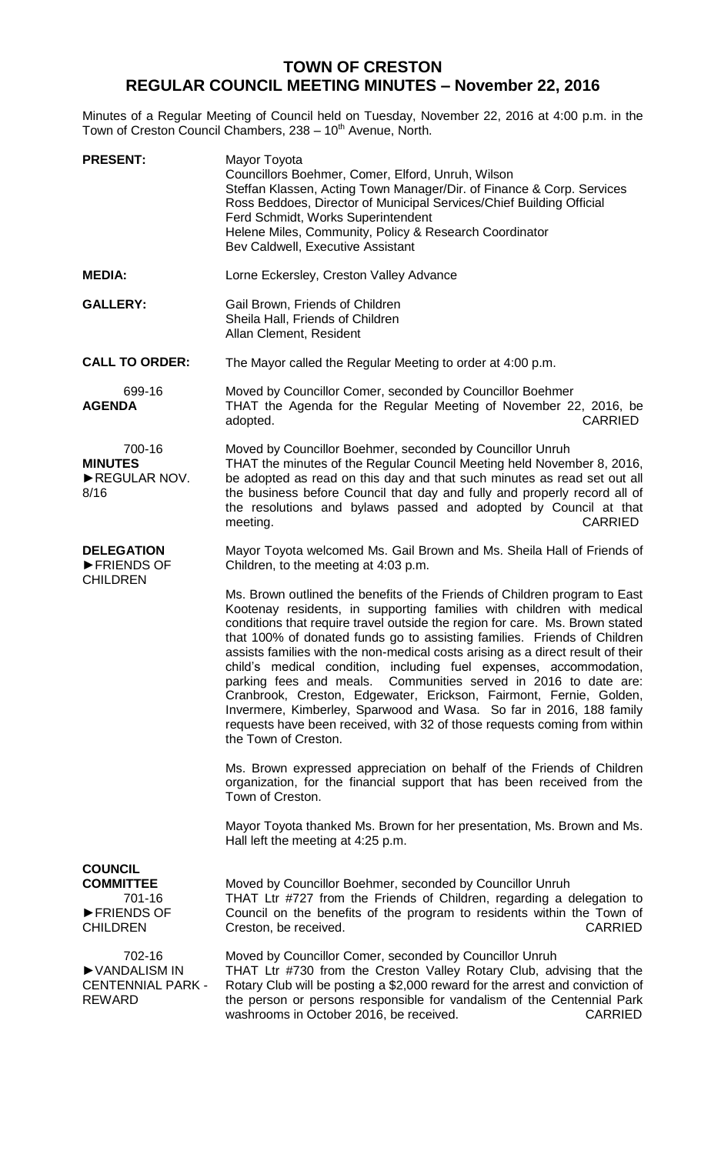## **TOWN OF CRESTON REGULAR COUNCIL MEETING MINUTES – November 22, 2016**

Minutes of a Regular Meeting of Council held on Tuesday, November 22, 2016 at 4:00 p.m. in the Town of Creston Council Chambers, 238 - 10<sup>th</sup> Avenue, North.

| <b>PRESENT:</b>                                                               | Mayor Toyota<br>Councillors Boehmer, Comer, Elford, Unruh, Wilson<br>Steffan Klassen, Acting Town Manager/Dir. of Finance & Corp. Services<br>Ross Beddoes, Director of Municipal Services/Chief Building Official<br>Ferd Schmidt, Works Superintendent<br>Helene Miles, Community, Policy & Research Coordinator<br>Bev Caldwell, Executive Assistant                                                                                                                                                                                                                                                                                                                                                                                                                                       |
|-------------------------------------------------------------------------------|-----------------------------------------------------------------------------------------------------------------------------------------------------------------------------------------------------------------------------------------------------------------------------------------------------------------------------------------------------------------------------------------------------------------------------------------------------------------------------------------------------------------------------------------------------------------------------------------------------------------------------------------------------------------------------------------------------------------------------------------------------------------------------------------------|
| <b>MEDIA:</b>                                                                 | Lorne Eckersley, Creston Valley Advance                                                                                                                                                                                                                                                                                                                                                                                                                                                                                                                                                                                                                                                                                                                                                       |
| <b>GALLERY:</b>                                                               | Gail Brown, Friends of Children<br>Sheila Hall, Friends of Children<br>Allan Clement, Resident                                                                                                                                                                                                                                                                                                                                                                                                                                                                                                                                                                                                                                                                                                |
| <b>CALL TO ORDER:</b>                                                         | The Mayor called the Regular Meeting to order at 4:00 p.m.                                                                                                                                                                                                                                                                                                                                                                                                                                                                                                                                                                                                                                                                                                                                    |
| 699-16<br><b>AGENDA</b>                                                       | Moved by Councillor Comer, seconded by Councillor Boehmer<br>THAT the Agenda for the Regular Meeting of November 22, 2016, be<br>adopted.<br><b>CARRIED</b>                                                                                                                                                                                                                                                                                                                                                                                                                                                                                                                                                                                                                                   |
| 700-16<br><b>MINUTES</b><br>REGULAR NOV.<br>8/16                              | Moved by Councillor Boehmer, seconded by Councillor Unruh<br>THAT the minutes of the Regular Council Meeting held November 8, 2016,<br>be adopted as read on this day and that such minutes as read set out all<br>the business before Council that day and fully and properly record all of<br>the resolutions and bylaws passed and adopted by Council at that<br><b>CARRIED</b><br>meeting.                                                                                                                                                                                                                                                                                                                                                                                                |
| <b>DELEGATION</b><br>FRIENDS OF                                               | Mayor Toyota welcomed Ms. Gail Brown and Ms. Sheila Hall of Friends of<br>Children, to the meeting at 4:03 p.m.                                                                                                                                                                                                                                                                                                                                                                                                                                                                                                                                                                                                                                                                               |
| <b>CHILDREN</b>                                                               | Ms. Brown outlined the benefits of the Friends of Children program to East<br>Kootenay residents, in supporting families with children with medical<br>conditions that require travel outside the region for care. Ms. Brown stated<br>that 100% of donated funds go to assisting families. Friends of Children<br>assists families with the non-medical costs arising as a direct result of their<br>child's medical condition, including fuel expenses, accommodation,<br>parking fees and meals. Communities served in 2016 to date are:<br>Cranbrook, Creston, Edgewater, Erickson, Fairmont, Fernie, Golden,<br>Invermere, Kimberley, Sparwood and Wasa. So far in 2016, 188 family<br>requests have been received, with 32 of those requests coming from within<br>the Town of Creston. |
|                                                                               | Ms. Brown expressed appreciation on behalf of the Friends of Children<br>organization, for the financial support that has been received from the<br>Town of Creston.                                                                                                                                                                                                                                                                                                                                                                                                                                                                                                                                                                                                                          |
|                                                                               | Mayor Toyota thanked Ms. Brown for her presentation, Ms. Brown and Ms.<br>Hall left the meeting at 4:25 p.m.                                                                                                                                                                                                                                                                                                                                                                                                                                                                                                                                                                                                                                                                                  |
| <b>COUNCIL</b><br><b>COMMITTEE</b><br>701-16<br>FRIENDS OF<br><b>CHILDREN</b> | Moved by Councillor Boehmer, seconded by Councillor Unruh<br>THAT Ltr #727 from the Friends of Children, regarding a delegation to<br>Council on the benefits of the program to residents within the Town of<br><b>CARRIED</b><br>Creston, be received.                                                                                                                                                                                                                                                                                                                                                                                                                                                                                                                                       |
| 702-16<br>VANDALISM IN<br><b>CENTENNIAL PARK -</b><br><b>REWARD</b>           | Moved by Councillor Comer, seconded by Councillor Unruh<br>THAT Ltr #730 from the Creston Valley Rotary Club, advising that the<br>Rotary Club will be posting a \$2,000 reward for the arrest and conviction of<br>the person or persons responsible for vandalism of the Centennial Park<br>washrooms in October 2016, be received.<br><b>CARRIED</b>                                                                                                                                                                                                                                                                                                                                                                                                                                       |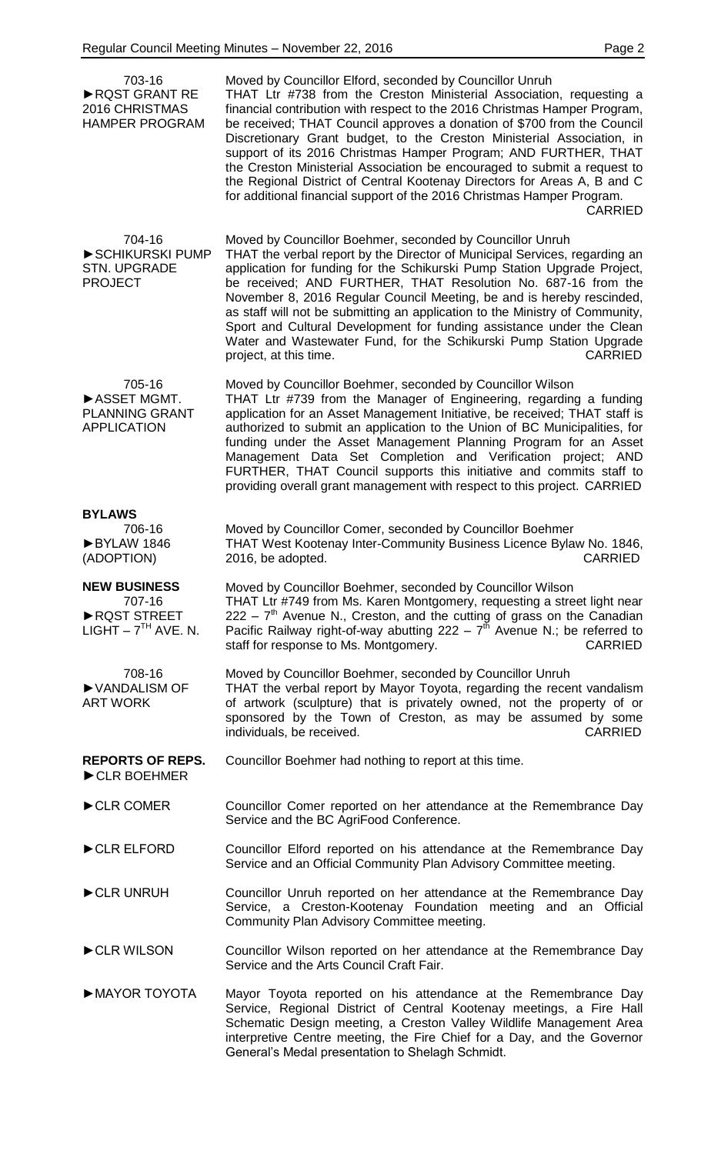| 703-16<br>RQST GRANT RE<br>2016 CHRISTMAS<br><b>HAMPER PROGRAM</b>   | Moved by Councillor Elford, seconded by Councillor Unruh<br>THAT Ltr #738 from the Creston Ministerial Association, requesting a<br>financial contribution with respect to the 2016 Christmas Hamper Program,<br>be received; THAT Council approves a donation of \$700 from the Council<br>Discretionary Grant budget, to the Creston Ministerial Association, in<br>support of its 2016 Christmas Hamper Program; AND FURTHER, THAT<br>the Creston Ministerial Association be encouraged to submit a request to<br>the Regional District of Central Kootenay Directors for Areas A, B and C<br>for additional financial support of the 2016 Christmas Hamper Program.<br><b>CARRIED</b> |
|----------------------------------------------------------------------|-------------------------------------------------------------------------------------------------------------------------------------------------------------------------------------------------------------------------------------------------------------------------------------------------------------------------------------------------------------------------------------------------------------------------------------------------------------------------------------------------------------------------------------------------------------------------------------------------------------------------------------------------------------------------------------------|
| 704-16<br>SCHIKURSKI PUMP<br><b>STN. UPGRADE</b><br><b>PROJECT</b>   | Moved by Councillor Boehmer, seconded by Councillor Unruh<br>THAT the verbal report by the Director of Municipal Services, regarding an<br>application for funding for the Schikurski Pump Station Upgrade Project,<br>be received; AND FURTHER, THAT Resolution No. 687-16 from the<br>November 8, 2016 Regular Council Meeting, be and is hereby rescinded,<br>as staff will not be submitting an application to the Ministry of Community,<br>Sport and Cultural Development for funding assistance under the Clean<br>Water and Wastewater Fund, for the Schikurski Pump Station Upgrade<br><b>CARRIED</b><br>project, at this time.                                                  |
| 705-16<br>ASSET MGMT.<br><b>PLANNING GRANT</b><br><b>APPLICATION</b> | Moved by Councillor Boehmer, seconded by Councillor Wilson<br>THAT Ltr #739 from the Manager of Engineering, regarding a funding<br>application for an Asset Management Initiative, be received; THAT staff is<br>authorized to submit an application to the Union of BC Municipalities, for<br>funding under the Asset Management Planning Program for an Asset<br>Management Data Set Completion and Verification project; AND<br>FURTHER, THAT Council supports this initiative and commits staff to<br>providing overall grant management with respect to this project. CARRIED                                                                                                       |
| <b>BYLAWS</b><br>706-16<br>BYLAW 1846<br>(ADOPTION)                  | Moved by Councillor Comer, seconded by Councillor Boehmer<br>THAT West Kootenay Inter-Community Business Licence Bylaw No. 1846,<br>2016, be adopted.<br><b>CARRIED</b>                                                                                                                                                                                                                                                                                                                                                                                                                                                                                                                   |
| <b>NEW BUSINESS</b><br>707-16<br>RQST STREET<br>LIGHT $-7TH$ AVE. N. | Moved by Councillor Boehmer, seconded by Councillor Wilson<br>THAT Ltr #749 from Ms. Karen Montgomery, requesting a street light near<br>$222 - 7th$ Avenue N., Creston, and the cutting of grass on the Canadian<br>Pacific Railway right-of-way abutting $222 - 7^{th}$ Avenue N.; be referred to<br>staff for response to Ms. Montgomery.<br><b>CARRIED</b>                                                                                                                                                                                                                                                                                                                            |
| 708-16<br>▶ VANDALISM OF<br><b>ART WORK</b>                          | Moved by Councillor Boehmer, seconded by Councillor Unruh<br>THAT the verbal report by Mayor Toyota, regarding the recent vandalism<br>of artwork (sculpture) that is privately owned, not the property of or<br>sponsored by the Town of Creston, as may be assumed by some<br>individuals, be received.<br><b>CARRIED</b>                                                                                                                                                                                                                                                                                                                                                               |
| <b>REPORTS OF REPS.</b><br>CLR BOEHMER                               | Councillor Boehmer had nothing to report at this time.                                                                                                                                                                                                                                                                                                                                                                                                                                                                                                                                                                                                                                    |
| CLR COMER                                                            | Councillor Comer reported on her attendance at the Remembrance Day<br>Service and the BC AgriFood Conference.                                                                                                                                                                                                                                                                                                                                                                                                                                                                                                                                                                             |
| CLR ELFORD                                                           | Councillor Elford reported on his attendance at the Remembrance Day<br>Service and an Official Community Plan Advisory Committee meeting.                                                                                                                                                                                                                                                                                                                                                                                                                                                                                                                                                 |
| CLR UNRUH                                                            | Councillor Unruh reported on her attendance at the Remembrance Day<br>Service, a Creston-Kootenay Foundation meeting and an Official<br>Community Plan Advisory Committee meeting.                                                                                                                                                                                                                                                                                                                                                                                                                                                                                                        |
| CLR WILSON                                                           | Councillor Wilson reported on her attendance at the Remembrance Day<br>Service and the Arts Council Craft Fair.                                                                                                                                                                                                                                                                                                                                                                                                                                                                                                                                                                           |
| MAYOR TOYOTA                                                         | Mayor Toyota reported on his attendance at the Remembrance Day<br>Service, Regional District of Central Kootenay meetings, a Fire Hall<br>Schematic Design meeting, a Creston Valley Wildlife Management Area<br>interpretive Centre meeting, the Fire Chief for a Day, and the Governor<br>General's Medal presentation to Shelagh Schmidt.                                                                                                                                                                                                                                                                                                                                              |